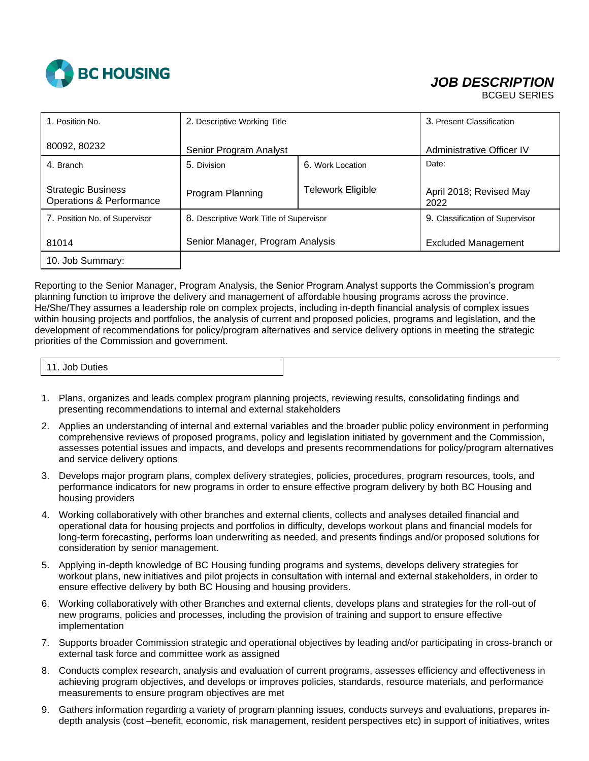

## *JOB DESCRIPTION*

BCGEU SERIES

| 1. Position No.                                       | 2. Descriptive Working Title            |                          | 3. Present Classification       |
|-------------------------------------------------------|-----------------------------------------|--------------------------|---------------------------------|
| 80092, 80232                                          | Senior Program Analyst                  |                          | Administrative Officer IV       |
| 4. Branch                                             | 5. Division                             | 6. Work Location         | Date:                           |
| <b>Strategic Business</b><br>Operations & Performance | Program Planning                        | <b>Telework Eligible</b> | April 2018; Revised May<br>2022 |
| 7. Position No. of Supervisor                         | 8. Descriptive Work Title of Supervisor |                          | 9. Classification of Supervisor |
| 81014                                                 | Senior Manager, Program Analysis        |                          | <b>Excluded Management</b>      |
| 10. Job Summary:                                      |                                         |                          |                                 |

Reporting to the Senior Manager, Program Analysis, the Senior Program Analyst supports the Commission's program planning function to improve the delivery and management of affordable housing programs across the province. He/She/They assumes a leadership role on complex projects, including in-depth financial analysis of complex issues within housing projects and portfolios, the analysis of current and proposed policies, programs and legislation, and the development of recommendations for policy/program alternatives and service delivery options in meeting the strategic priorities of the Commission and government.

11. Job Duties

- 1. Plans, organizes and leads complex program planning projects, reviewing results, consolidating findings and presenting recommendations to internal and external stakeholders
- 2. Applies an understanding of internal and external variables and the broader public policy environment in performing comprehensive reviews of proposed programs, policy and legislation initiated by government and the Commission, assesses potential issues and impacts, and develops and presents recommendations for policy/program alternatives and service delivery options
- 3. Develops major program plans, complex delivery strategies, policies, procedures, program resources, tools, and performance indicators for new programs in order to ensure effective program delivery by both BC Housing and housing providers
- 4. Working collaboratively with other branches and external clients, collects and analyses detailed financial and operational data for housing projects and portfolios in difficulty, develops workout plans and financial models for long-term forecasting, performs loan underwriting as needed, and presents findings and/or proposed solutions for consideration by senior management.
- 5. Applying in-depth knowledge of BC Housing funding programs and systems, develops delivery strategies for workout plans, new initiatives and pilot projects in consultation with internal and external stakeholders, in order to ensure effective delivery by both BC Housing and housing providers.
- 6. Working collaboratively with other Branches and external clients, develops plans and strategies for the roll-out of new programs, policies and processes, including the provision of training and support to ensure effective implementation
- 7. Supports broader Commission strategic and operational objectives by leading and/or participating in cross-branch or external task force and committee work as assigned
- 8. Conducts complex research, analysis and evaluation of current programs, assesses efficiency and effectiveness in achieving program objectives, and develops or improves policies, standards, resource materials, and performance measurements to ensure program objectives are met
- 9. Gathers information regarding a variety of program planning issues, conducts surveys and evaluations, prepares indepth analysis (cost –benefit, economic, risk management, resident perspectives etc) in support of initiatives, writes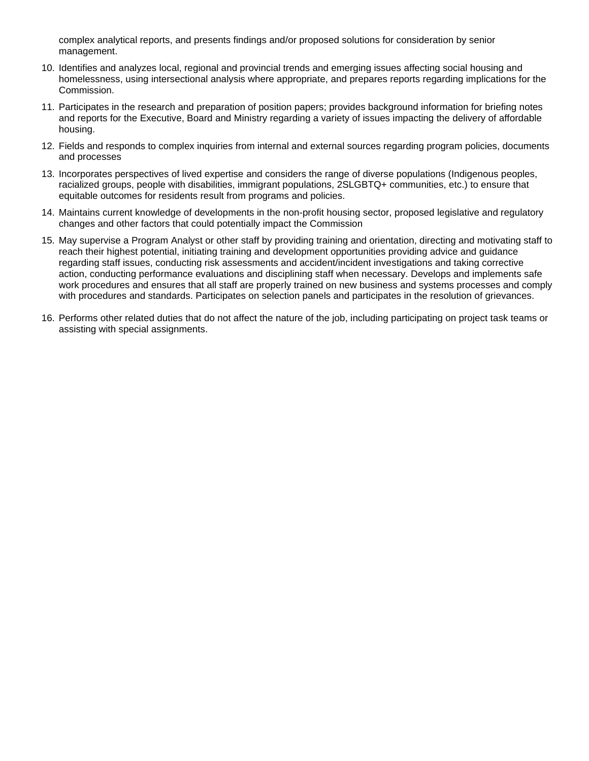complex analytical reports, and presents findings and/or proposed solutions for consideration by senior management.

- 10. Identifies and analyzes local, regional and provincial trends and emerging issues affecting social housing and homelessness, using intersectional analysis where appropriate, and prepares reports regarding implications for the Commission.
- 11. Participates in the research and preparation of position papers; provides background information for briefing notes and reports for the Executive, Board and Ministry regarding a variety of issues impacting the delivery of affordable housing.
- 12. Fields and responds to complex inquiries from internal and external sources regarding program policies, documents and processes
- 13. Incorporates perspectives of lived expertise and considers the range of diverse populations (Indigenous peoples, racialized groups, people with disabilities, immigrant populations, 2SLGBTQ+ communities, etc.) to ensure that equitable outcomes for residents result from programs and policies.
- 14. Maintains current knowledge of developments in the non-profit housing sector, proposed legislative and regulatory changes and other factors that could potentially impact the Commission
- 15. May supervise a Program Analyst or other staff by providing training and orientation, directing and motivating staff to reach their highest potential, initiating training and development opportunities providing advice and guidance regarding staff issues, conducting risk assessments and accident/incident investigations and taking corrective action, conducting performance evaluations and disciplining staff when necessary. Develops and implements safe work procedures and ensures that all staff are properly trained on new business and systems processes and comply with procedures and standards. Participates on selection panels and participates in the resolution of grievances.
- 16. Performs other related duties that do not affect the nature of the job, including participating on project task teams or assisting with special assignments.